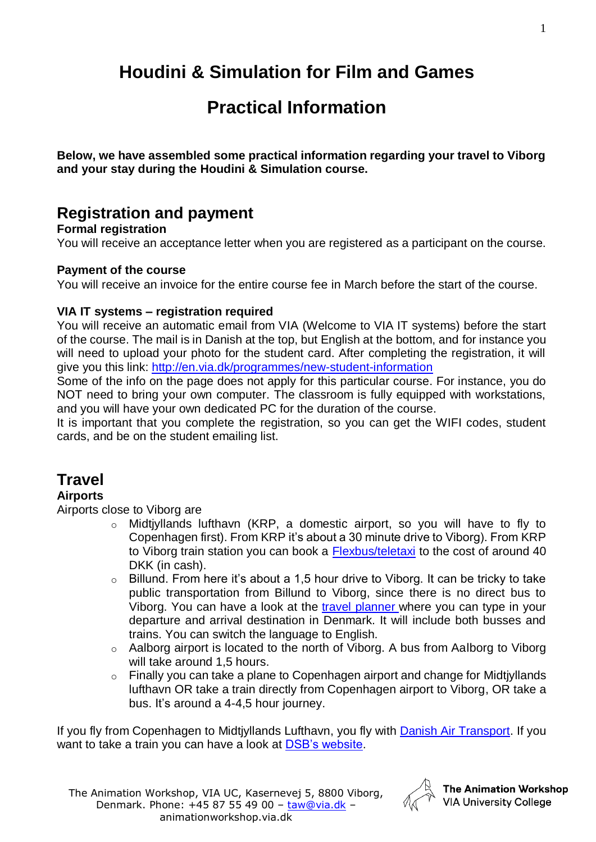# **Houdini & Simulation for Film and Games**

# **Practical Information**

**Below, we have assembled some practical information regarding your travel to Viborg and your stay during the Houdini & Simulation course.**

## **Registration and payment**

### **Formal registration**

You will receive an acceptance letter when you are registered as a participant on the course.

### **Payment of the course**

You will receive an invoice for the entire course fee in March before the start of the course.

### **VIA IT systems – registration required**

You will receive an automatic email from VIA (Welcome to VIA IT systems) before the start of the course. The mail is in Danish at the top, but English at the bottom, and for instance you will need to upload your photo for the student card. After completing the registration, it will give you this link:<http://en.via.dk/programmes/new-student-information>

Some of the info on the page does not apply for this particular course. For instance, you do NOT need to bring your own computer. The classroom is fully equipped with workstations, and you will have your own dedicated PC for the duration of the course.

It is important that you complete the registration, so you can get the WIFI codes, student cards, and be on the student emailing list.

# **Travel**

### **Airports**

Airports close to Viborg are

- o Midtjyllands lufthavn (KRP, a domestic airport, so you will have to fly to Copenhagen first). From KRP it's about a 30 minute drive to Viborg). From KRP to Viborg train station you can book a [Flexbus/teletaxi](https://midtjyllandslufthavn.dk/tilfra/flexbus/) to the cost of around 40 DKK (in cash).
- $\circ$  Billund. From here it's about a 1,5 hour drive to Viborg. It can be tricky to take public transportation from Billund to Viborg, since there is no direct bus to Viborg. You can have a look at the [travel planner](http://www.rejseplanen.dk/) where you can type in your departure and arrival destination in Denmark. It will include both busses and trains. You can switch the language to English.
- o Aalborg airport is located to the north of Viborg. A bus from Aalborg to Viborg will take around 1,5 hours.
- o Finally you can take a plane to Copenhagen airport and change for Midtjyllands lufthavn OR take a train directly from Copenhagen airport to Viborg, OR take a bus. It's around a 4-4,5 hour journey.

If you fly from Copenhagen to Midtjyllands Lufthavn, you fly with [Danish Air Transport.](https://www.dat.dk/) If you want to take a train you can have a look at [DSB's website.](http://www.dsb.dk/om-dsb/in-english/)



The Animation Workshop **VIA University College**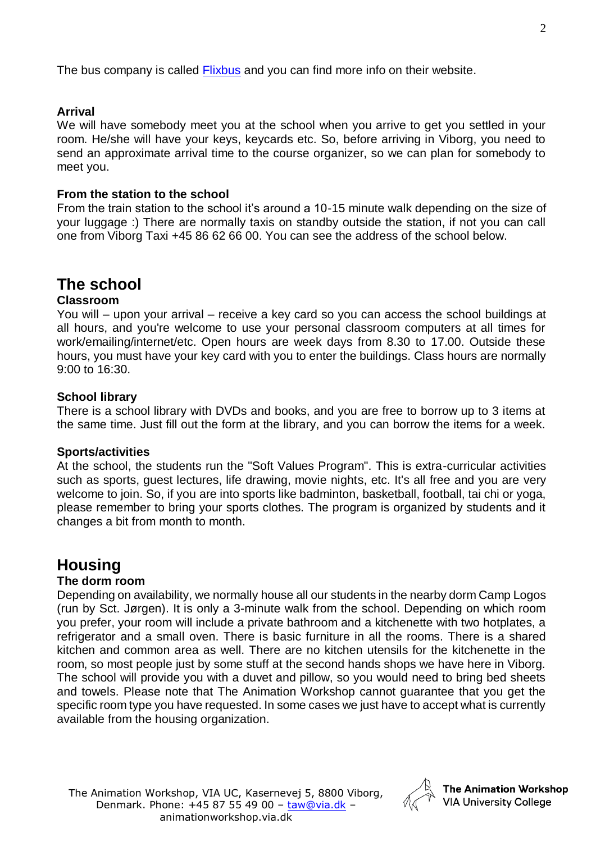The bus company is called [Flixbus](https://www.flixbus.co.uk/?wt_eid=2153546270647904414&wt_t=1535462784518&_ga=2.131813519.1419818704.1535462708-27869676.1535462708) and you can find more info on their website.

### **Arrival**

We will have somebody meet you at the school when you arrive to get you settled in your room. He/she will have your keys, keycards etc. So, before arriving in Viborg, you need to send an approximate arrival time to the course organizer, so we can plan for somebody to meet you.

### **From the station to the school**

From the train station to the school it's around a 10-15 minute walk depending on the size of your luggage :) There are normally taxis on standby outside the station, if not you can call one from Viborg Taxi +45 86 62 66 00. You can see the address of the school below.

## **The school**

### **Classroom**

You will – upon your arrival – receive a key card so you can access the school buildings at all hours, and you're welcome to use your personal classroom computers at all times for work/emailing/internet/etc. Open hours are week days from 8.30 to 17.00. Outside these hours, you must have your key card with you to enter the buildings. Class hours are normally 9:00 to 16:30.

### **School library**

There is a school library with DVDs and books, and you are free to borrow up to 3 items at the same time. Just fill out the form at the library, and you can borrow the items for a week.

### **Sports/activities**

At the school, the students run the "Soft Values Program". This is extra-curricular activities such as sports, guest lectures, life drawing, movie nights, etc. It's all free and you are very welcome to join. So, if you are into sports like badminton, basketball, football, tai chi or yoga, please remember to bring your sports clothes. The program is organized by students and it changes a bit from month to month.

### **Housing**

### **The dorm room**

Depending on availability, we normally house all our students in the nearby dorm Camp Logos (run by Sct. Jørgen). It is only a 3-minute walk from the school. Depending on which room you prefer, your room will include a private bathroom and a kitchenette with two hotplates, a refrigerator and a small oven. There is basic furniture in all the rooms. There is a shared kitchen and common area as well. There are no kitchen utensils for the kitchenette in the room, so most people just by some stuff at the second hands shops we have here in Viborg. The school will provide you with a duvet and pillow, so you would need to bring bed sheets and towels. Please note that The Animation Workshop cannot guarantee that you get the specific room type you have requested. In some cases we just have to accept what is currently available from the housing organization.

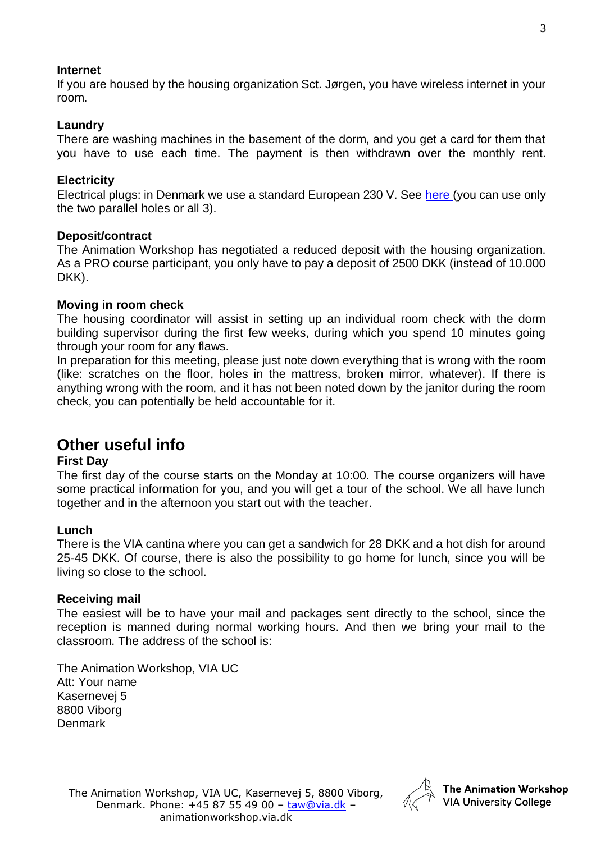### **Internet**

If you are housed by the housing organization Sct. Jørgen, you have wireless internet in your room.

### **Laundry**

There are washing machines in the basement of the dorm, and you get a card for them that you have to use each time. The payment is then withdrawn over the monthly rent.

### **Electricity**

Electrical plugs: in Denmark we use a standard European 230 V. See [here](https://www.power-plugs-sockets.com/denmark/) (you can use only the two parallel holes or all 3).

### **Deposit/contract**

The Animation Workshop has negotiated a reduced deposit with the housing organization. As a PRO course participant, you only have to pay a deposit of 2500 DKK (instead of 10.000 DKK).

### **Moving in room check**

The housing coordinator will assist in setting up an individual room check with the dorm building supervisor during the first few weeks, during which you spend 10 minutes going through your room for any flaws.

In preparation for this meeting, please just note down everything that is wrong with the room (like: scratches on the floor, holes in the mattress, broken mirror, whatever). If there is anything wrong with the room, and it has not been noted down by the janitor during the room check, you can potentially be held accountable for it.

### **Other useful info**

### **First Day**

The first day of the course starts on the Monday at 10:00. The course organizers will have some practical information for you, and you will get a tour of the school. We all have lunch together and in the afternoon you start out with the teacher.

### **Lunch**

There is the VIA cantina where you can get a sandwich for 28 DKK and a hot dish for around 25-45 DKK. Of course, there is also the possibility to go home for lunch, since you will be living so close to the school.

### **Receiving mail**

The easiest will be to have your mail and packages sent directly to the school, since the reception is manned during normal working hours. And then we bring your mail to the classroom. The address of the school is:

The Animation Workshop, VIA UC Att: Your name Kasernevej 5 8800 Viborg Denmark

The Animation Workshop, VIA UC, Kasernevej 5, 8800 Viborg, Denmark. Phone: +45 87 55 49 00 – [taw@via.dk](mailto:taw@via.dk) – animationworkshop.via.dk